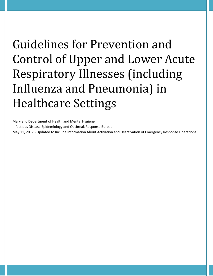# Guidelines for Prevention and Control of Upper and Lower Acute Respiratory Illnesses (including Influenza and Pneumonia) in Healthcare Settings

Maryland Department of Health and Mental Hygiene Infectious Disease Epidemiology and Outbreak Response Bureau May 11, 2017 - Updated to Include Information About Activation and Deactivation of Emergency Response Operations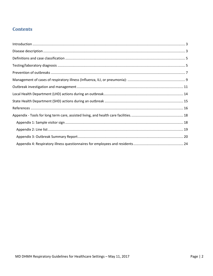# **Contents**

<span id="page-1-0"></span>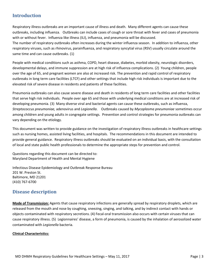# **Introduction**

Respiratory illness outbreaks are an important cause of illness and death. Many different agents can cause these outbreaks, including influenza. Outbreaks can include cases of cough or sore throat with fever and cases of pneumonia with or without fever. Influenza like illness (ILI), influenza, and pneumonia will be discussed.

The number of respiratory outbreaks often increases during the winter influenza season. In addition to influenza, other respiratory viruses, such as rhinovirus, parainfluenza, and respiratory syncytial virus (RSV) usually circulate around the same time and can cause outbreaks. (1)

People with medical conditions such as asthma, COPD, heart disease, diabetes, morbid obesity, neurologic disorders, developmental delays, and immune suppression are at high risk of influenza complications. (2) Young children, people over the age of 65, and pregnant women are also at increased risk. The prevention and rapid control of respiratory outbreaks in long term care facilities (LTCF) and other settings that include high risk individuals is important due to the elevated risk of severe disease in residents and patients of these facilities.

Pneumonia outbreaks can also cause severe disease and death in residents of long term care facilities and other facilities that serve high risk individuals. People over age 65 and those with underlying medical conditions are at increased risk of developing pneumonia. (3) Many diverse viral and bacterial agents can cause these outbreaks, such as influenza, *Streptococcus pneumoniae,* adenovirus and *Legionella*. Outbreaks caused by *Mycoplasma pneumoniae* sometimes occur among children and young adults in congregate settings*.* Prevention and control strategies for pneumonia outbreaks can vary depending on the etiology.

This document was written to provide guidance on the investigation of respiratory illness outbreaks in healthcare settings such as nursing homes, assisted living facilities, and hospitals. The recommendations in this document are intended to provide general guidance. Respiratory illness outbreaks should be evaluated on an individual basis, with the consultation of local and state public health professionals to determine the appropriate steps for prevention and control.

Questions regarding this document can be directed to: Maryland Department of Health and Mental Hygiene

Infectious Disease Epidemiology and Outbreak Response Bureau 201 W. Preston St. Baltimore, MD 21201 (410) 767-6700

# <span id="page-2-0"></span>**Disease description**

**Mode of Transmission:** Agents that cause respiratory infections are generally spread by respiratory droplets, which are released from the mouth and nose by coughing, sneezing, singing, and talking, and by indirect contact with hands or objects contaminated with respiratory secretions. (4) Fecal-oral transmission also occurs with certain viruses that can cause respiratory illness. (5) Legionnaires' disease, a form of pneumonia, is caused by the inhalation of aerosolized water contaminated with *Legionella* bacteria.

#### **Clinical Characteristics:**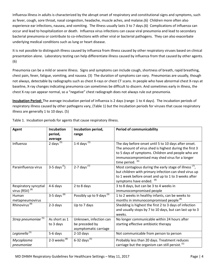Influenza illness in adults is characterized by the abrupt onset of respiratory and constitutional signs and symptoms, such as fever, cough, sore throat, nasal congestion, headache, muscle aches, and malaise.(6) Children more often also experience ear infections, nausea, and vomiting. The illness usually lasts 3 to 7 days.(6) Complications of influenza can occur and lead to hospitalization or death. Influenza virus infections can cause viral pneumonia and lead to secondary bacterial pneumonia or contribute to co-infections with other viral or bacterial pathogens. They can also exacerbate underlying medical conditions such as lung or heart disease.

It is not possible to distinguish illness caused by influenza from illness caused by other respiratory viruses based on clinical presentation alone. Laboratory testing can help differentiate illness caused by influenza from that caused by other agents. (6)

Pneumonia can be a mild or severe illness. Signs and symptoms can include cough, shortness of breath, rapid breathing, chest pain, fever, fatigue, vomiting, and nausea. (3) The duration of symptoms can vary. Pneumonias are usually, though not always, detectable by radiographs such as chest X-rays or chest CT scans. In people who have abnormal chest X-rays at baseline, X-ray changes indicating pneumonia can sometimes be difficult to discern. And sometimes early in illness, the chest X-ray can appear normal, so a "negative" chest radiograph does not always rule out pneumonia.

**Incubation Period:** The average incubation period of influenza is 2 days (range: 1 to 4 days). The incubation periods of respiratory illness caused by other pathogens vary, (Table 1) but the incubation periods for viruses that cause respiratory illness are generally 1 to 10 days. (5)

| <b>Agent</b>                    | <b>Incubation</b><br>period, | Incubation period,<br>range          | <b>Period of communicability</b>                                   |
|---------------------------------|------------------------------|--------------------------------------|--------------------------------------------------------------------|
|                                 | average                      |                                      |                                                                    |
| Influenza                       | 2 days $(5)$                 | 1-4 days $(5)$                       | The day before onset until 5 to 10 days after onset.               |
|                                 |                              |                                      | The amount of virus shed is highest during the first 3             |
|                                 |                              |                                      | to 5 days of symptoms. Children and people who are                 |
|                                 |                              |                                      | immunocompromised may shed virus for a longer                      |
|                                 |                              |                                      | time period. (6)                                                   |
| Parainfluenza virus             | 3-5 days $(5)$               | 2-7 days <sup>(7)</sup>              | Most contagious during the early stage of illness <sup>(7)</sup> , |
|                                 |                              |                                      | but children with primary infection can shed virus up              |
|                                 |                              |                                      | to 1 week before onset and up to 1 to 3 weeks after                |
|                                 |                              |                                      | symptoms have ended. (8)                                           |
| Respiratory syncytial           | 4-6 days                     | 2 to 8 days                          | 3 to 8 days, but can be 3 to 4 weeks in                            |
| virus (RSV) <sup>(8)</sup>      |                              |                                      | immunocompromised people                                           |
| Human                           | 3-5 days $(8)$               | Possibly up to 9 days <sup>(9)</sup> | 1 to 2 weeks in healthy infants, can be weeks to                   |
| metapneumovirus                 |                              |                                      | months in immunocompromised people <sup>(8)</sup>                  |
| Rhinovirus <sup>(8)</sup>       | 2-3 days                     | Up to 7 days                         | Shedding is highest the first 2 to 3 days of infection             |
|                                 |                              |                                      | and usually stops by 7 to 10 days, but can last up to 3            |
|                                 |                              |                                      | weeks.                                                             |
| Strep pneumoniae <sup>(5)</sup> | As short as 1                | Unknown, infection can               | No longer communicable within 24 hours after                       |
|                                 | to 3 days                    | be preceded by                       | starting effective antibiotic therapy                              |
|                                 |                              | asymptomatic carriage                |                                                                    |
| Legionella <sup>(5)</sup>       | 5-6 days                     | $2-10$ days                          | Not communicable from person to person                             |
| Mycoplasma                      | 2-3 weeks $^{(8)}$           | 6-32 days <sup>(5)</sup>             | Probably less than 20 days. Treatment reduces                      |
| pneumoniae                      |                              |                                      | carriage but the organism can still persist. <sup>(5)</sup>        |

Table 1. Incubation periods for agents that cause respiratory illness.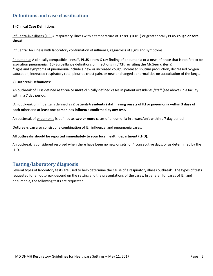# <span id="page-4-0"></span>**Definitions and case classification**

#### **1) Clinical Case Definitions**:

Influenza-like illness (ILI): A respiratory illness with a temperature of 37.8°C (100°F) or greater orally **PLUS cough or sore throat**.

Influenza: An illness with laboratory confirmation of influenza, regardless of signs and symptoms.

Pneumonia: A clinically compatible illness\*, **PLUS** a new X-ray finding of pneumonia or a new infiltrate that is not felt to be aspiration pneumonia. (10) Surveillance definitions of infections in LTCF: revisiting the McGeer criteria) **\***Signs and symptoms of pneumonia include a new or increased cough, increased sputum production, decreased oxygen saturation, increased respiratory rate, pleuritic chest pain, or new or changed abnormalities on auscultation of the lungs.

#### **2) Outbreak Definitions:**

An outbreak of ILI is defined as **three or more** clinically defined cases in patients/residents /staff (see above) in a facility within a 7 day period.

An outbreak of influenza is defined as **2 patients/residents /staff having onsets of ILI or pneumonia within 3 days of each other** and **at least one person has influenza confirmed by any test.** 

An outbreak of pneumonia is defined as **two or more** cases of pneumonia in a ward/unit within a 7 day period.

Outbreaks can also consist of a combination of ILI, influenza, and pneumonia cases.

#### **All outbreaks should be reported immediately to your local health department (LHD).**

An outbreak is considered resolved when there have been no new onsets for 4 consecutive days, or as determined by the LHD.

# <span id="page-4-1"></span>**Testing/laboratory diagnosis**

Several types of laboratory tests are used to help determine the cause of a respiratory illness outbreak. The types of tests requested for an outbreak depend on the setting and the presentations of the cases. In general, for cases of ILI, and pneumonia, the following tests are requested: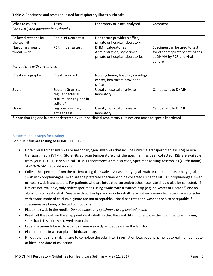Table 2. Specimens and tests requested for respiratory illness outbreaks.

| What to collect                       | <b>Tests</b>            | Laboratory or place analyzed      | Comment                         |  |  |  |
|---------------------------------------|-------------------------|-----------------------------------|---------------------------------|--|--|--|
| For all, ILI, and pneumonia outbreaks |                         |                                   |                                 |  |  |  |
|                                       |                         |                                   |                                 |  |  |  |
| Follow directions for                 | Rapid influenza test    | Healthcare provider's office,     |                                 |  |  |  |
| the test kit                          |                         | private or hospital laboratory    |                                 |  |  |  |
| Nasopharyngeal or                     | PCR influenza test      | <b>DHMH Laboratories</b>          | Specimen can be used to test    |  |  |  |
| throat swab                           |                         | Administration, sometimes         | for other respiratory pathogens |  |  |  |
|                                       |                         | private or hospital laboratories  | at DHMH by PCR and viral        |  |  |  |
|                                       |                         |                                   | culture                         |  |  |  |
| For patients with pneumonia           |                         |                                   |                                 |  |  |  |
|                                       |                         |                                   |                                 |  |  |  |
| Chest radiography                     | Chest x-ray or CT       | Nursing home, hospital, radiology |                                 |  |  |  |
|                                       |                         | center, healthcare provider's     |                                 |  |  |  |
|                                       |                         | office                            |                                 |  |  |  |
| Sputum                                | Sputum Gram stain,      | Usually hospital or private       | Can be sent to DHMH             |  |  |  |
|                                       | regular bacterial       | laboratory                        |                                 |  |  |  |
|                                       | culture, and Legionella |                                   |                                 |  |  |  |
|                                       | culture*                |                                   |                                 |  |  |  |
| Urine                                 | Legionella urinary      | Usually hospital or private       | Can be sent to DHMH             |  |  |  |
|                                       | antigen test            | laboratory                        |                                 |  |  |  |

\* Note that Legionella are not detected by routine clinical respiratory cultures and must be specially ordered

#### **Recommended steps for testing:**

#### **For PCR influenza testing at DHMH** (11)**,** (12)**:**

- Obtain viral throat swab kits or nasopharyngeal swab kits that include universal transport media (UTM) or viral transport media (VTM). Store kits at room temperature until the specimen has been collected. Kits are available from your LHD. LHDs should call DHMH Laboratories Administration, Specimen Mailing Assemblies (Outfit Room) at 410-767-6120 to obtain kits.
- Collect the specimen from the patient using the swabs. A nasopharyngeal swab or combined nasopharyngeal swab with oropharyngeal swab are the preferred specimens to be collected using the kits. An oropharyngeal swab or nasal swab is acceptable. For patients who are intubated, an endotracheal aspirate should also be collected. If kits are not available, only collect specimens using swabs with a synthetic tip (e.g. polyester or Dacron®) and an aluminum or plastic shaft. Swabs with cotton tips and wooden shafts are not recommended. Specimens collected with swabs made of calcium alginate are not acceptable. Nasal aspirates and washes are also acceptable if specimens are being collected without kits.
- Place the swab in the media. *Do not collect any specimens using expired media*!
- Break off the swab on the snap point on its shaft so that the swab fits in tube. Close the lid of the tube, making sure that it is securely screwed onto tube.
- Label specimen tube with patient's name exactly as it appears on the lab slip.
- Place the tube in a clear plastic biohazard bag.
- Fill out the lab slip, making sure to complete the submitter information box, patient name, outbreak number, date of birth, and date of collection.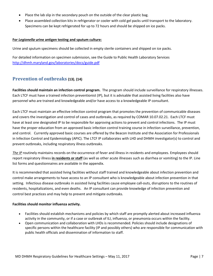- Place the lab slip in the secondary pouch on the outside of the clear plastic bag.
- Place assembled collection kits in refrigerator or cooler with cold gel packs until transport to the laboratory. Specimens can be kept refrigerated for up to 72 hours and should be shipped on ice packs.

#### **For** *Legionella* **urine antigen testing and sputum culture:**

Urine and sputum specimens should be collected in empty sterile containers and shipped on ice packs.

For detailed information on specimen submission, see the Guide to Public Health Laboratory Services <http://dhmh.maryland.gov/laboratories/docs/guide.pdf>

# <span id="page-6-0"></span>**Prevention of outbreaks (13)**, **(14)**

**Facilities should maintain an infection control program.** The program should include surveillance for respiratory illnesses. Each LTCF must have a trained infection preventionist (IP), but it is advisable that assisted living facilities also have personnel who are trained and knowledgeable and/or have access to a knowledgeable IP consultant.

Each LTCF must maintain an effective infection control program that promotes the prevention of communicable diseases and covers the investigation and control of cases and outbreaks, as required by COMAR 10.07.02.21. Each LTCF must have at least one designated IP to be responsible for approving actions to prevent and control infections. The IP must have the proper education from an approved basic infection control training course in infection surveillance, prevention, and control. Currently approved basic courses are offered by the Beacon Institute and the Association for Professionals in Infection Control and Epidemiology (APIC). The LTCF IP collaborates with LHD and DHMH investigator(s) to control and prevent outbreaks, including respiratory illness outbreaks.

*The IP* routinely maintains records on the occurrence of fever and illness in residents and employees. Employees should report respiratory illness **in residents or staff** (as well as other acute illnesses such as diarrhea or vomiting) to the IP. Line list forms and questionnaires are available in the appendix.

It is recommended that assisted living facilities without staff trained and knowledgeable about infection prevention and control make arrangements to have access to an IP consultant who is knowledgeable about infection prevention in that setting. Infectious disease outbreaks in assisted living facilities cause employee call-outs, disruptions to the routines of residents, hospitalizations, and even deaths. An IP consultant can provide knowledge of infection prevention and control best practices and may help to prevent and mitigate outbreaks.

#### **Facilities should monitor influenza activity.**

- Facilities should establish mechanisms and policies by which staff are promptly alerted about increased influenza activity in the community, or if a case or outbreak of ILI, influenza, or pneumonia occurs within the facility.
- Open communication and collaboration with LHDs is recommended. Policies should include designations of specific persons within the healthcare facility (IP and possibly others) who are responsible for communication with public health officials and dissemination of information to staff.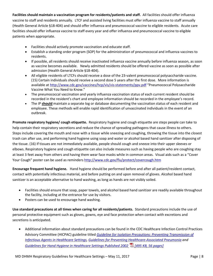**Facilities should maintain a vaccination program for residents/patients and staff.** All facilities should offer influenza vaccine to staff and residents annually. LTCF and assisted living facilities must offer influenza vaccine to staff annually (Health General Article §18-404) and should offer influenza and pneumococcal vaccine to eligible residents. Acute care facilities should offer influenza vaccine to staff every year and offer influenza and pneumococcal vaccine to eligible patients when appropriate.

- Facilities should actively promote vaccination and educate staff.
- Establish a standing order program (SOP) for the administration of pneumococcal and influenza vaccines to residents.
- If possible, all residents should receive inactivated influenza vaccine annually before influenza season, as soon as vaccine becomes available. Newly admitted residents should be offered vaccine as soon as possible after admission (Health General Article §18-404).
- All eligible residents of LTCFs should receive a dose of the 23-valent pneumococcal polysaccharide vaccine. (15) Certain individuals should receive a second dose 5 years after the first dose. More information is available a[t http://www.cdc.gov/vaccines/hcp/vis/vis-statements/ppv.pdf](http://www.cdc.gov/vaccines/hcp/vis/vis-statements/ppv.pdf) "Pneumococcal Polysaccharide Vaccine What You Need to Know."
- The pneumococcal vaccination and yearly influenza vaccination status of each current resident should be recorded in the resident's chart and employee information should be recorded in the employee's record.
- The IP **should** maintain a separate log or database documenting the vaccination status of each resident and employee. These methods will enable rapid identification of unvaccinated individuals in the event of an outbreak.

**Promote respiratory hygiene/ cough etiquette.** Respiratory hygiene and cough etiquette are steps people can take to help contain their respiratory secretions and reduce the chance of spreading pathogens that cause illness to others. Steps include covering the mouth and nose with a tissue while sneezing and coughing, throwing the tissue into the closest trash can after use, and performing hand hygiene using soap and water or alcohol based hand sanitizer after disposing of the tissue. (16) If tissues are not immediately available, people should cough and sneeze into their upper sleeves or elbows. Respiratory hygiene and cough etiquette can also include measures such as having people who are coughing stay at least 3 feet away from others and having them wear face masks while in common areas. Visual aids such as a "Cover Your Cough" poster can be used as reminders<http://www.cdc.gov/flu/protect/covercough.htm>

**Encourage frequent hand hygiene.** Hand hygiene should be performed before and after all patient/resident contact, contact with potentially infectious material, and before putting on and upon removal of gloves. Alcohol based hand sanitizer is an acceptable alternative to hand washing, as long as hands are not visibly soiled.

- Facilities should ensure that soap, paper towels, and alcohol based hand sanitizer are readily available throughout the facility, including at the entrance for use by visitors.
- Posters can be used to encourage hand washing.

**Use standard precautions at all times when caring for all residents/patients.** Standard precautions include the use of personal protective equipment such as gloves, gowns, eye and face protection when contact with excretions and secretions is anticipated.

• Additional information about standard precautions can be found in the CDC Healthcare Infection Control Practices Advisory Committee (HICPAC) guideline titled *[Guideline for Isolation Precautions: Preventing Transmission of](http://www.cdc.gov/hicpac/2007IP/2007ip_part4.html#4)  [Infectious Agents in Healthcare Settings,](http://www.cdc.gov/hicpac/2007IP/2007ip_part4.html#4) [Guidelines for Preventing Healthcare-Associated Pneumonia](http://www.cdc.gov/mmwr/preview/mmwrhtml/rr5303a1.htm) and [Guidelines for Hand Hygiene in Healthcare Settings Published 2002](http://www.cdc.gov/mmwr/PDF/rr/rr5116.pdf) [495 KB, 56 pages]*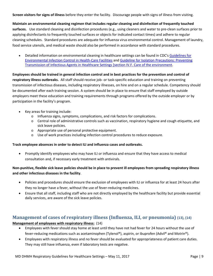**Screen visitors for signs of illness** before they enter the facility. Discourage people with signs of illness from visiting.

**Maintain an environmental cleaning regimen that includes regular cleaning and disinfection of frequently touched surfaces.** Use standard cleaning and disinfection procedures (e.g., using cleaners and water to pre-clean surfaces prior to applying disinfectants to frequently touched surfaces or objects for indicated contact times) and adhere to regular cleaning schedules. Standard procedures are adequate for influenza virus environmental control. Management of laundry, food service utensils, and medical waste should also be performed in accordance with standard procedures.

• Detailed information on environmental cleaning in healthcare settings can be found in CDC'[s Guidelines for](http://www.cdc.gov/mmwr/preview/mmwrhtml/rr5210a1.htm)  [Environmental Infection Control in Health-Care Facilities](http://www.cdc.gov/mmwr/preview/mmwrhtml/rr5210a1.htm) and [Guideline for Isolation Precautions: Preventing](http://www.cdc.gov/hicpac/2007IP/2007ip_part4.html)  [Transmission of Infectious Agents in Healthcare Settings \[section IV.F. Care of the environment.](http://www.cdc.gov/hicpac/2007IP/2007ip_part4.html)

**Employees should be trained in general infection control and in best practices for the prevention and control of respiratory illness outbreaks.** All staff should receive job- or task-specific education and training on preventing transmission of infectious diseases, including respiratory illnesses, on hire and on a regular schedule. Competency should be documented after each training session. A system should be in place to ensure that staff employed by outside employers meet these education and training requirements through programs offered by the outside employer or by participation in the facility's program.

- Key areas for training include:
	- o Influenza signs, symptoms, complications, and risk factors for complications.
	- o Central role of administrative controls such as vaccination, respiratory hygiene and cough etiquette, and sick leave policies.
	- o Appropriate use of personal protective equipment.
	- o Use of work practices including infection control procedures to reduce exposure.

#### **Track employee absences in order to detect ILI and influenza cases and outbreaks.**

• Promptly identify employees who may have ILI or influenza and ensure that they have access to medical consultation and, if necessary early treatment with antivirals.

#### **Non-punitive, flexible sick leave policies should be in place to prevent ill employees from spreading respiratory illness and other infectious diseases in the facility**.

- Policies and procedures should ensure the exclusion of employees with ILI or influenza for at least 24 hours after they no longer have a fever, without the use of fever-reducing medicines.
- Ensure that all staff, including staff who are not directly employed by the healthcare facility but provide essential daily services, are aware of the sick leave policies.

# <span id="page-8-0"></span>**Management of cases of respiratory illness (Influenza, ILI, or pneumonia) (13), (14)**

#### **Management of employees with respiratory illness:** (14)

- Employees with fever should stay home at least until they have not had fever for 24 hours without the use of fever-reducing medications such as acetaminophen (Tylenol®), aspirin, or ibuprofen (Advil® and Motrin®).
- Employees with respiratory illness and no fever should be evaluated for appropriateness of patient care duties. They may still have influenza, even if laboratory tests are negative.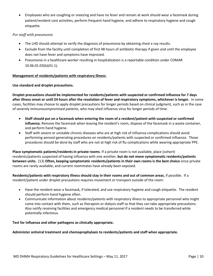• Employees who are coughing or sneezing and have no fever and remain at work should wear a facemask during patient/resident care activities, perform frequent hand hygiene, and adhere to respiratory hygiene and cough etiquette.

#### *For staff with pneumonia*

- The LHD should attempt to verify the diagnosis of pneumonia by obtaining chest x-ray results.
- Exclude from the facility until completion of first 48 hours of antibiotic therapy if given and until the employee does not have fever and symptoms have improved.
- Pneumonia in a healthcare worker resulting in hospitalization is a reportable condition under COMAR 10.06.01.03(b)(41-1).

#### **Management of residents/patients with respiratory illness:**

#### **Use standard and droplet precautions.**

**Droplet precautions should be implemented for residents/patients with suspected or confirmed influenza for 7 days after illness onset or until 24 hours after the resolution of fever and respiratory symptoms, whichever is longer.** In some cases, facilities may choose to apply droplet precautions for longer periods based on clinical judgment, such as in the case of severely immunocompromised patients, who may shed influenza virus for longer periods of time.

- **Staff should put on a facemask when entering the room of a resident/patient with suspected or confirmed influenza.** Remove the facemask when leaving the resident's room, dispose of the facemask in a waste container, and perform hand hygiene.
- Staff with severe or unstable chronic diseases who are at high risk of influenza complications should avoid performing aerosol-generating procedures on residents/patients with suspected or confirmed influenza. Those procedures should be done by staff who are not at high risk of flu complications while wearing appropriate PPE.

**Place symptomatic patients/residents in private rooms**. If a private room is not available, place (cohort) residents/patients suspected of having influenza with one another, **but do not move symptomatic residents/patients between units.** (13) **Often, keeping symptomatic residents/patients in their own rooms is the best choice** since private rooms are rarely available, and current roommates have already been exposed.

**Residents/patients with respiratory illness should stay in their rooms and out of common areas**, if possible. If a resident/patient under droplet precautions requires movement or transport outside of the room:

- Have the resident wear a facemask, if tolerated, and use respiratory hygiene and cough etiquette. The resident should perform hand hygiene often.
- Communicate information about residents/patients with respiratory illness to appropriate personnel who might come into contact with them, such as therapists or dialysis staff so that they can take appropriate precautions. Also notify receiving facilities and emergency medical personnel if a resident needs to be transferred while potentially infectious.

#### **Test for influenza and other pathogens as clinically appropriate.**

#### **Administer antiviral treatment and chemoprophylaxis to residents/patients and staff when appropriate.**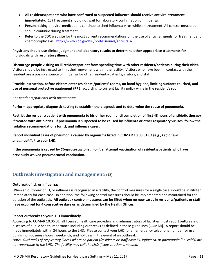- **All residents/patients who have confirmed or suspected influenza should receive antiviral treatment immediately**. (13) Treatment should not wait for laboratory confirmation of influenza.
- Persons taking antiviral medications continue to shed influenza virus while on treatment. All control measures should continue during treatment.
- Refer to the CDC web site for the most current recommendations on the use of antiviral agents for treatment and chemoprophylaxis.<http://www.cdc.gov/flu/professionals/antivirals/>

#### **Physicians should use clinical judgment and laboratory results to determine other appropriate treatments for individuals with respiratory illness.**

**Discourage people visiting an ill resident/patient from spending time with other residents/patients during their visits.** Visitors should be instructed to limit their movement within the facility. Visitors who have been in contact with the ill resident are a possible source of influenza for other residents/patients, visitors, and staff.

**Provide instruction, before visitors enter residents'/patients' rooms, on hand hygiene, limiting surfaces touched, and use of personal protective equipment (PPE)** according to current facility policy while in the resident's room.

#### *For residents/patients with pneumonia:*

**Perform appropriate diagnostic testing to establish the diagnosis and to determine the cause of pneumonia**.

**Restrict the resident/patient with pneumonia to his or her room until completion of first 48 hours of antibiotic therapy if treated with antibiotics. If pneumonia is suspected to be caused by influenza or other respiratory viruses, follow the isolation recommendations for ILI, and influenza cases.**

**Report individual cases of pneumonia caused by organisms listed in COMAR 10.06.01.03 (e.g.,** *Legionella pneumophila),* **to your LHD.**

<span id="page-10-0"></span>**If the pneumonia is caused by** *Streptococcus pneumoniae***, attempt vaccination of residents/patients who have previously waived pneumococcal vaccination.**

# **Outbreak investigation and management:** (13)

#### **Outbreak of ILI, or Influenza:**

When an outbreak of ILI, or influenza is recognized in a facility, the control measures for a single case should be instituted immediately for each case. In addition, the following control measures should be implemented and maintained for the duration of the outbreak. **All outbreak control measures can be lifted when no new cases in residents/patients or staff have occurred for 4 consecutive days or as determined by the Health Officer.**

#### **Report outbreaks to your LHD immediately.**

According to COMAR 10.06.01, all licensed healthcare providers and administrators of facilities must report outbreaks of diseases of public health importance including outbreaks as defined in these guidelines [COMAR]. A report should be made immediately within 24 hours to the LHD. Please contact your LHD for an emergency telephone number for use during non-business hours, weekends, and holidays in the event of an outbreak.

*Note: Outbreaks of respiratory illness where no patients/residents or staff have ILI, influenza, or pneumonia (i.e. colds) are not reportable to the LHD. The facility may call the LHD if consultation is needed.*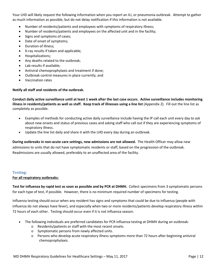Your LHD will likely request the following information when you report an ILI, or pneumonia outbreak. Attempt to gather as much information as possible, but do not delay notification if this information is not available.

- Number of residents/patients and employees with symptoms of respiratory illness;
- Number of residents/patients and employees on the affected unit and in the facility;
- Signs and symptoms of cases;
- Date of onset of symptoms;
- Duration of illness;
- X-ray results if taken and applicable;
- Hospitalizations;
- Any deaths related to the outbreak;
- Lab results if available;
- Antiviral chemoprophylaxis and treatment if done;
- Outbreak control measures in place currently; and
- Vaccination rates

#### **Notify all staff and residents of the outbreak.**

**Conduct daily active surveillance until at least 1 week after the last case occurs. Active surveillance includes monitoring illness in residents/patients as well as staff. Keep track of illnesses using a line list** (Appendix 2). Fill out the line list as completely as possible.

- Examples of methods for conducting active daily surveillance include having the IP call each unit every day to ask about new onsets and status of previous cases and asking staff who call out if they are experiencing symptoms of respiratory illness.
- Update the line list daily and share it with the LHD every day during an outbreak.

**During outbreaks in non-acute care settings, new admissions are not allowed.** The Health Officer may allow new admissions to units that do not have symptomatic residents or staff, based on the progression of the outbreak. Readmissions are usually allowed, preferably to an unaffected area of the facility.

#### **Testing***:*

#### **For all respiratory outbreaks:**

**Test for influenza by rapid test as soon as possible and by PCR at DHMH.** Collect specimens from 3 symptomatic persons for each type of test, if possible. However, there is no minimum required number of specimens for testing.

Influenza testing should occur when any resident has signs and symptoms that could be due to influenza (people with influenza do not always have fever), and especially when two or more residents/patients develop respiratory illness within 72 hours of each other. Testing should occur even if it is not influenza season.

- The following individuals are preferred candidates for PCR influenza testing at DHMH during an outbreak:
	- o Residents/patients or staff with the most recent onsets.
	- o Symptomatic persons from newly affected units.
	- o Persons who develop acute respiratory illness symptoms more than 72 hours after beginning antiviral chemoprophylaxis.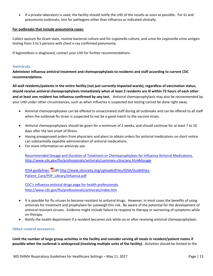• If a private laboratory is used, the facility should notify the LHD of the results as soon as possible. For ILI and pneumonia outbreaks, test for pathogens other than influenza as indicated clinically.

#### **For outbreaks that include pneumonia cases:**

Collect sputum for Gram stain, routine bacterial culture and for *Legionella* culture, and urine for *Legionella* urine antigen testing from 3 to 5 persons with chest x-ray confirmed pneumonia.

If legionellosis is diagnosed, contact your LHD for further recommendations.

#### **Antivirals:**

**Administer influenza antiviral treatment and chemoprophylaxis to residents and staff according to current CDC recommendations.**

**All well residents/patients in the entire facility (not just currently impacted wards), regardless of vaccination status, should receive antiviral chemoprophylaxis immediately when at least 2 residents are ill within 72 hours of each other and at least one resident has influenza confirmed by any test.** Antiviral chemoprophylaxis may also be recommended by your LHD under other circumstances, such as when influenza is suspected but testing cannot be done right away.

- Antiviral chemoprophylaxis can be offered to unvaccinated staff during all outbreaks and can be offered to all staff when the outbreak flu strain is suspected to not be a good match to the vaccine strain.
- Antiviral chemoprophylaxis should be given for a minimum of 2 weeks, and should continue for at least 7 to 10 days after the last onset of illness.
- Having preapproved orders from physicians and plans to obtain orders for antiviral medications on short notice can substantially expedite administration of antiviral medications.
- For more information on antivirals see:

[Recommended Dosage and Duration of Treatment or Chemoprophylaxis for Influenza Antiviral Medications.](http://www.cdc.gov/flu/professionals/antivirals/summary-clinicians.htm#dosage) <http://www.cdc.gov/flu/professionals/antivirals/summary-clinicians.htm#dosage>

[IDSA guidelines](http://www.idsociety.org/uploadedFiles/IDSA/Guidelines-Patient_Care/PDF_Library/Infuenza.pdf) [\)](http://www.cdc.gov/Other/disclaimer.html) [http://www.idsociety.org/uploadedFiles/IDSA/Guidelines-](http://www.idsociety.org/uploadedFiles/IDSA/Guidelines-Patient_Care/PDF_Library/Infuenza.pdf)[Patient\\_Care/PDF\\_Library/Infuenza.pdf](http://www.idsociety.org/uploadedFiles/IDSA/Guidelines-Patient_Care/PDF_Library/Infuenza.pdf)

[CDC's influenza antiviral drugs page for health professionals](http://www.cdc.gov/flu/professionals/antivirals/index.htm). <http://www.cdc.gov/flu/professionals/antivirals/index.htm>

- It is possible for flu viruses to become resistant to antiviral drugs. However, in most cases the benefits of using antivirals for treatment and prophylaxis far outweigh this risk. Be aware of the potential for the development of antiviral resistant viruses. Evidence might include failure to respond to therapy or worsening of symptoms while on therapy.
- Notify the health department if a resident becomes sick while on or after receiving antiviral chemoprophylaxis.

#### **Other control measures:**

**Limit the number of large group activities in the facility and consider serving all meals in resident/patient rooms if possible when the outbreak is widespread (involving multiple units of the facility).** Activities should be limited to the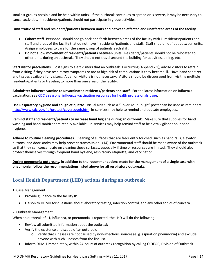smallest groups possible and be held within units. If the outbreak continues to spread or is severe, it may be necessary to cancel activities. Ill residents/patients should not participate in group activities.

#### **Limit traffic of staff and residents/patients between units and between affected and unaffected areas of the facility**.

- **Cohort staff** Personnel should not go back and forth between areas of the facility with ill residents/patients and staff and areas of the facility that do not have ill residents/patients and staff. Staff should not float between units. Assign employees to care for the same group of patients each shift.
- **Do not allow movement of residents/patients between units.** Residents/patients should not be relocated to other units during an outbreak. They should not travel around the building for activities, dining, etc.

**Start visitor precautions**. Post signs to alert visitors that an outbreak is occurring (Appendix 1); advise visitors to refrain from visiting if they have respiratory symptoms or are at high risk of complications if they become ill. Have hand sanitizer and tissues available for visitors. A ban on visitors is not necessary. Visitors should be discouraged from visiting multiple residents/patients or traveling to more than one area of the facility.

**Administer influenza vaccine to unvaccinated residents/patients and staff.** For the latest information on influenza vaccination, see [CDC's seasonal influenza vaccination resources for health professionals page.](http://www.cdc.gov/flu/professionals/vaccination/index.htm)

**Use Respiratory hygiene and cough etiquette.** Visual aids such as a "Cover Your Cough" poster can be used as reminders <http://www.cdc.gov/flu/protect/covercough.htm>In-services may help to remind and educate employees.

**Remind staff and residents/patients to increase hand hygiene during an outbreak.** Make sure that supplies for hand washing and hand sanitizer are readily available. In-services may help remind staff to be extra vigilant about hand hygiene.

**Adhere to routine cleaning procedures.** Cleaning of surfaces that are frequently touched, such as hand rails, elevator buttons, and door knobs may help prevent transmission. (14) Environmental staff should be made aware of the outbreak so that they can concentrate on cleaning these surfaces, especially if time or resources are limited. They should also protect themselves through frequent hand hygiene, respiratory etiquette, and vaccination.

**During pneumonia outbreaks, in addition to the recommendations made for the management of a single case with pneumonia, follow the recommendations listed above for all respiratory outbreaks.**

# <span id="page-13-0"></span>**Local Health Department (LHD) actions during an outbreak**

#### 1. Case Management

- Provide guidance to the facility IP.
- Liaison to DHMH for questions about laboratory testing, infection control, and any other topics of concern..

#### 2. Outbreak Management

When an outbreak of ILI, influenza, or pneumonia is reported, the LHD will do the following:

- Review all submitted information about the outbreak
- Verify the existence and scope of an outbreak.
	- o Verify that illnesses are not caused by non-infectious sources (e. g. aspiration pneumonia) and exclude anyone with such illnesses from the line list.
- Inform DHMH immediately, within 24 hours of outbreak recognition by calling OIDEOR, Division of Outbreak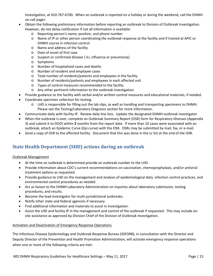Investigation, at 410-767-6700. When an outbreak is reported on a holiday or during the weekend, call the DHMH on-call pager.

- Obtain the following preliminary information before reporting an outbreak to Division of Outbreak Investigation. However, do not delay notification if not all information is available:
	- o Reporting person's name, position, and phone number
	- o Name of IP or other person coordinating the outbreak response at the facility and if trained at APIC or DHMH course in infection control
	- o Name and address of the facility
	- o Date of onset of first case
	- o Suspect or confirmed disease ( ILI, influenza or pneumonia)
	- o Symptoms
	- o Number of hospitalized cases and deaths
	- o Number of resident and employee cases
	- o Total number of residents/patients and employees in the facility
	- o Number of residents/patients and employees in each affected unit
	- o Types of control measures recommended to the facility
	- o Any other pertinent information to the outbreak investigation
- Provide guidance to the facility with verbal and/or written control measures and educational materials, if needed.
- Coordinate specimen collection for testing.
	- o LHD is responsible for filling out the lab slips, as well as handling and transporting specimens to DHMH. Please see the Testing/Laboratory Diagnosis section for more information.
- Communicate daily with facility IP. Review daily line lists. Update the designated DHMH outbreak investigator.
- When the outbreak is over, complete an Outbreak Summary Report (OSR) form for Respiratory Illnesses (Appendix 3) and submit it to DOOI within **2** months from the report date. If more than 10 cases were associated with an outbreak, attach an Epidemic Curve (Epi-curve) with the OSR. OSRs may be submitted by mail, fax, or e-mail.
- <span id="page-14-0"></span>• Send a copy of OSR to the affected facility. Document that this was done in the cc list at the end of the OSR.

# **State Health Department (SHD) actions during an outbreak**

#### Outbreak Management

- At the time an outbreak is determined provide an outbreak number to the LHD.
- Provide information about CDC's current recommendations on vaccination, chemoprophylaxis, and/or antiviral treatment options as requested.
- Provide guidance to LHD on the management and analysis of epidemiological data, infection control practices, and environmental control procedures as needed.
- Act as liaison to the DHMH Laboratory Administration on inquiries about laboratory submission, testing procedures, and results.
- Become the lead investigator for multi-jurisdictional outbreaks.
- Notify other state and federal agencies if necessary.
- Find additional information and materials to assist in investigation.
- Assist the LHD and facility IP in the management and control of the outbreak if requested. This may include onsite assistance as approved by Division Chief of the Division of Outbreak Investigation.

#### Activation and Deactivation of Emergency Response Operations

The Infectious Disease Epidemiology and Outbreak Response Bureau (IDEORB), in consultation with the Director and Deputy Director of the Prevention and Health Promotion Administration, will activate emergency response operations when one or more of the following criteria are met: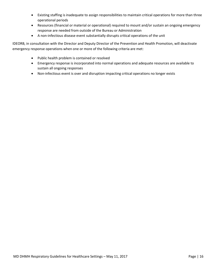- Existing staffing is inadequate to assign responsibilities to maintain critical operations for more than three operational periods
- Resources (financial or material or operational) required to mount and/or sustain an ongoing emergency response are needed from outside of the Bureau or Administration
- A non-infectious disease event substantially disrupts critical operations of the unit

IDEORB, in consultation with the Director and Deputy Director of the Prevention and Health Promotion, will deactivate emergency response operations when one or more of the following criteria are met:

- Public health problem is contained or resolved
- Emergency response is incorporated into normal operations and adequate resources are available to sustain all ongoing responses
- Non-infectious event is over and disruption impacting critical operations no longer exists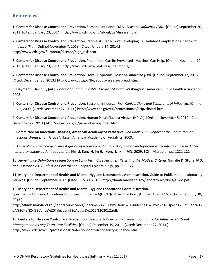# **References**

1. **Centers for Disease Control and Prevention.** Seasonal Influenza Q&A. *Seasonal Influenza (Flu).* [Online] September 20, 2013. [Cited: January 23, 2014.] http://www.cdc.gov/flu/about/qa/disease.htm.

2. **Centers for Disease Control and Prevention.** People at High Risk of Developing Flu–Related Complications. *Seasonal Influenza (Flu).* [Online] November 7, 2013. [Cited: January 14, 2014.] http://www.cdc.gov/flu/about/disease/high\_risk.htm.

3. **Centers for Disease Control and Prevention.** Pneumonia Can Be Prevented - Vaccines Can Help. [Online] November 12, 2013. [Cited: January 23, 2014.] http://www.cdc.gov/Features/Pneumonia/.

4. **Centers for Disease Control and Prevention.** How Flu Spreads. *Seasonal Influenza (Flu).* [Online] September 12, 2013. [Cited: December 26, 2013.] http://www.cdc.gov/flu/about/disease/spread.htm.

5. **Heymann, David L., [ed.].** *Control of Communicable Diseases Manual.* Washington : American Public Health Association, 2008.

6. **Centers for Disease Control and Prevention.** Seasonal Influenza (Flu). *Clinical Signs and Symptoms of Influenza.* [Online] July 1, 2009. [Cited: December 27, 2013.] http://www.cdc.gov/flu/professionals/acip/clinical.htm.

7. **Centers for Disease Control and Prevention.** Human Parainfluenza Viruses (HPIVs). [Online] November 5, 2012. [Cited: December 27, 2013.] http://www.cdc.gov/parainfluenza/index.html.

8. **Committee on Infectious Diseases, American Academy of Pediatrics.** *Red Book: 2009 Report of the Committee on Infectious Diseases.* Elk Grove Village : American Academy of Pediatrics, 2009.

9. *Molecular epidemiological investigation of a nosocomial outbreak of human metapneumovirus infection in a pediatric hemato-oncology patient population.* **Kim S, Sung H, Im HJ, Hong SJ, Kim MN.** 2009, J Clin Microbiol, pp. 1221-1224.

10. *Surveillance Definitions of Infections in Long-Term Care Facilities: Revisiting the McGeer Criteria.* **Nimalie D. Stone, MD, et al.** October 2012, Infection Control and Hospital Epidemiology, pp. 965-977.

11. **Maryland Department of Health and Mental Hygiene Laboratories Administration.** Guide to Public Health Laboratory Services. [Online] September 2012. [Cited: July 30, 2013.] http://dhmh.maryland.gov/laboratories/docs/guide.pdf.

#### 12. **Maryland Department of Health and Mental Hygiene Laboratories Administration.**

Specimen Submission Guidelines for Suspect Influenza A(H3N2)v Virus Infection . [Online] August 16, 2012. [Cited: July 30, 2013.]

http://dhmh.maryland.gov/laboratories/docs/Specimen%20Submission%20Guidelines%20for%20Suspect%20Influenza%2 0A%20H3N2v%20Virus%20Infection%20August%2016%202012.pdf.

13. **Centers for Disease Control and Prevention.** Seasonal Influenza (Flu). *Interim Guidance for Influenza Outbreak Management in Long-Term Care Facilities.* [Online] December 19, 2011. [Cited: December 27, 2013.] http://www.cdc.gov/flu/professionals/infectioncontrol/ltc-facility-guidance.htm.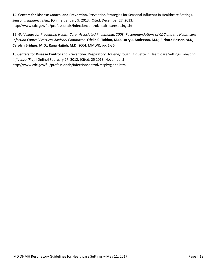14. **Centers for Disease Control and Prevention.** Prevention Strategies for Seasonal Influenza in Healthcare Settings. *Seasonal Influenza (Flu).* [Online] January 9, 2013. [Cited: December 27, 2013.] http://www.cdc.gov/flu/professionals/infectioncontrol/healthcaresettings.htm.

15. *Guidelines for Preventing Health-Care--Associated Pneumonia, 2003; Recommendations of CDC and the Healthcare Infection Control Practices Advisory Committee.* **Ofelia C. Tablan, M.D, Larry J. Anderson, M.D, Richard Besser, M.D, Carolyn Bridges, M.D., Rana Hajjeh, M.D.** 2004, MMWR, pp. 1-36.

<span id="page-17-0"></span>16.**Centers for Disease Control and Prevention.** Respiratory Hygiene/Cough Etiquette in Healthcare Settings. *Seasonal Influenza (Flu).* [Online] February 27, 2012. [Cited: 25 2013, November.] http://www.cdc.gov/flu/professionals/infectioncontrol/resphygiene.htm.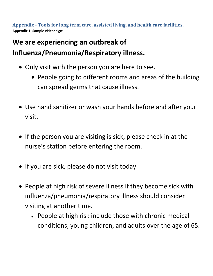**Appendix - Tools for long term care, assisted living, and health care facilities. Appendix 1: Sample visitor sign**:

# **We are experiencing an outbreak of Influenza/Pneumonia/Respiratory illness.**

- Only visit with the person you are here to see.
	- People going to different rooms and areas of the building can spread germs that cause illness.
- Use hand sanitizer or wash your hands before and after your visit.
- If the person you are visiting is sick, please check in at the nurse's station before entering the room.
- If you are sick, please do not visit today.
- <span id="page-18-0"></span>• People at high risk of severe illness if they become sick with influenza/pneumonia/respiratory illness should consider visiting at another time.
	- People at high risk include those with chronic medical conditions, young children, and adults over the age of 65.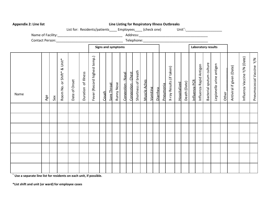| <b>Appendix 2: Line list</b>                                                             | Line Listing for Respiratory Illness Outbreaks                                                                                                                           |                                                                                                                                                                                                                                                                                         |
|------------------------------------------------------------------------------------------|--------------------------------------------------------------------------------------------------------------------------------------------------------------------------|-----------------------------------------------------------------------------------------------------------------------------------------------------------------------------------------------------------------------------------------------------------------------------------------|
|                                                                                          | List for: Residents/patients____ Employees____ (check one)                                                                                                               |                                                                                                                                                                                                                                                                                         |
|                                                                                          |                                                                                                                                                                          |                                                                                                                                                                                                                                                                                         |
|                                                                                          |                                                                                                                                                                          |                                                                                                                                                                                                                                                                                         |
|                                                                                          | Signs and symptoms                                                                                                                                                       | Laboratory results                                                                                                                                                                                                                                                                      |
| Room No. or Shift* & Unit*<br>Duration of Illness<br>Date of Onset<br>Name<br>Age<br>Sex | Fever (Record highest temp.)<br>Shortness of breath<br>Congestion - Chest<br>Congestion - Nasal<br><b>Muscle Aches</b><br>Runny Nose<br>Sore Throat<br>Vomiting<br>Cough | Influenza Vaccine Y/N (Date)<br>Pneumococcal Vaccine Y/N<br>Bacterial sputum culture<br>Legionella urine antigen<br>Influenza Rapid Antigen<br>Antiviral if given (Date)<br>X-ray Results (if taken)<br>Influenza PCR<br>Death (Date)<br>Hospitalized<br>Pneumonia<br>Diarrhea<br>Other |
|                                                                                          |                                                                                                                                                                          |                                                                                                                                                                                                                                                                                         |
|                                                                                          |                                                                                                                                                                          |                                                                                                                                                                                                                                                                                         |
|                                                                                          |                                                                                                                                                                          |                                                                                                                                                                                                                                                                                         |
|                                                                                          |                                                                                                                                                                          |                                                                                                                                                                                                                                                                                         |
|                                                                                          |                                                                                                                                                                          |                                                                                                                                                                                                                                                                                         |
|                                                                                          |                                                                                                                                                                          |                                                                                                                                                                                                                                                                                         |
|                                                                                          |                                                                                                                                                                          |                                                                                                                                                                                                                                                                                         |

<sup>+</sup> **Use a separate line list for residents on each unit, if possible.**

**\*List shift and unit (or ward) for employee cases**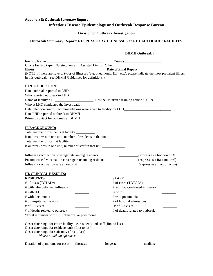# <span id="page-20-0"></span>**Appendix 3: Outbreak Summary Report Infectious Disease Epidemiology and Outbreak Response Bureau**

#### **Division of Outbreak Investigation**

# **Outbreak Summary Report: RESPIRATORY ILLNESSES at a HEALTHCARE FACILITY**

| Facility Name                                                                                                                                                  |                                                                  |                                                                                 |
|----------------------------------------------------------------------------------------------------------------------------------------------------------------|------------------------------------------------------------------|---------------------------------------------------------------------------------|
| Circle facility type: Nursing home Assisted Living Other:                                                                                                      |                                                                  |                                                                                 |
| <b>Illness</b>                                                                                                                                                 | Date of Final Report________                                     |                                                                                 |
| <b>Illness Date of Final Report COVERTIGE:</b> If there are several types of illnesses (e.g. pneumonia, ILI, etc.), please indicate the most prevalent illness |                                                                  |                                                                                 |
| in this outbreak—see DHMH Guidelines for definitions.)                                                                                                         |                                                                  |                                                                                 |
| <b>I. INTRODUCTION:</b>                                                                                                                                        |                                                                  |                                                                                 |
|                                                                                                                                                                |                                                                  |                                                                                 |
|                                                                                                                                                                |                                                                  |                                                                                 |
|                                                                                                                                                                |                                                                  |                                                                                 |
|                                                                                                                                                                |                                                                  |                                                                                 |
|                                                                                                                                                                |                                                                  |                                                                                 |
|                                                                                                                                                                |                                                                  |                                                                                 |
|                                                                                                                                                                |                                                                  |                                                                                 |
|                                                                                                                                                                |                                                                  |                                                                                 |
| <b>II. BACKGROUND:</b>                                                                                                                                         |                                                                  |                                                                                 |
| Total number of residents at facility __________                                                                                                               |                                                                  |                                                                                 |
| If outbreak was in one unit, number of residents in that unit _________                                                                                        |                                                                  |                                                                                 |
| Total number of staff at facility                                                                                                                              |                                                                  |                                                                                 |
| If outbreak was in one unit, number of staff in that unit ______________________                                                                               |                                                                  |                                                                                 |
|                                                                                                                                                                |                                                                  |                                                                                 |
| Influenza vaccination coverage rate among residents                                                                                                            |                                                                  | (cxpress as a fraction or %)                                                    |
| Pneumococcal vaccination coverage rate among residents                                                                                                         |                                                                  | $\frac{\cos(\theta)}{\cos(\theta)}$ (express as a fraction or %)                |
| Influenza vaccination rate among staff                                                                                                                         |                                                                  | $\frac{\cos(\theta)}{\cos(\theta)}$ (express as a fraction or %)                |
| <b>III. CLINICAL RESULTS:</b>                                                                                                                                  |                                                                  |                                                                                 |
| <b>RESIDENTS:</b>                                                                                                                                              | <b>STAFF:</b>                                                    |                                                                                 |
| # of cases (TOTAL*)                                                                                                                                            | # of cases (TOTAL*)                                              |                                                                                 |
| # with lab-confirmed influenza<br>__________                                                                                                                   | # with lab-confirmed influenza                                   | $\overline{\phantom{a}}$                                                        |
| # with ILI                                                                                                                                                     | # with ILI                                                       |                                                                                 |
| # with pneumonia<br>and the control of                                                                                                                         | # with pneumonia                                                 |                                                                                 |
| # of hospital admissions<br><b>Contract Contract</b>                                                                                                           | # of hospital admissions                                         |                                                                                 |
| # of ER visits                                                                                                                                                 | # of ER visits                                                   |                                                                                 |
| # of deaths related to outbreak                                                                                                                                | # of deaths related to outbreak                                  |                                                                                 |
| *Total = number with ILI, influenza, or pneumonia.                                                                                                             |                                                                  |                                                                                 |
|                                                                                                                                                                |                                                                  |                                                                                 |
| Onset date range for entire facility, i.e. residents and staff (first to last)                                                                                 |                                                                  |                                                                                 |
| Onset date range for residents only (first to last)                                                                                                            |                                                                  | the contract of the contract of the contract of the contract of the contract of |
| Onset date range for staff only (first to last)                                                                                                                |                                                                  |                                                                                 |
| -Please attach an epi curve                                                                                                                                    |                                                                  |                                                                                 |
| Duration of symptoms for cases:                                                                                                                                | shortest: __________ longest: _______________ median: __________ |                                                                                 |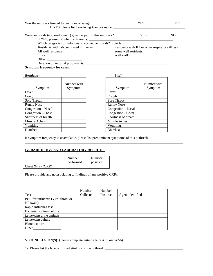| Was the outbreak limited to one floor or wing?<br>If YES, please list floor/wing # and/or name | YES                                             | NО  |
|------------------------------------------------------------------------------------------------|-------------------------------------------------|-----|
| Were antivirals (e.g. oseltamivir) given as part of this outbreak?                             | YES                                             | NO. |
| If YES, please list which antiviral(s) $\frac{ }{ }$                                           |                                                 |     |
| Which categories of individuals received antivirals?                                           | (circle)                                        |     |
| Residents with lab confirmed influenza                                                         | Residents with ILI or other respiratory illness |     |
| All well residents                                                                             | Some well residents                             |     |
| Ill staff                                                                                      | Well staff                                      |     |
| Other:                                                                                         |                                                 |     |
| Duration of antiviral prophylaxis:                                                             |                                                 |     |

**Symptom frequency for cases:**

| Symptom             | Number with<br>Symptom | Symptom             |
|---------------------|------------------------|---------------------|
| Fever               |                        | Fever               |
| Cough               |                        | Cough               |
| Sore Throat         |                        | <b>Sore Throat</b>  |
| <b>Runny Nose</b>   |                        | <b>Runny Nose</b>   |
| Congestion - Nasal  |                        | Congestion – Nasal  |
| Congestion - Chest  |                        | Congestion - Chest  |
| Shortness of breath |                        | Shortness of breath |
| Muscle Aches        |                        | Muscle Aches        |
| Vomiting            |                        | Vomiting            |
| Diarrhea            |                        | Diarrhea            |

| <b>Residents:</b>   |                        | Staff:              |                        |
|---------------------|------------------------|---------------------|------------------------|
| Symptom             | Number with<br>Symptom | Symptom             | Number with<br>Symptom |
| Fever               |                        | Fever               |                        |
| Cough               |                        | Cough               |                        |
| Sore Throat         |                        | <b>Sore Throat</b>  |                        |
| <b>Runny Nose</b>   |                        | <b>Runny Nose</b>   |                        |
| Congestion - Nasal  |                        | Congestion – Nasal  |                        |
| Congestion - Chest  |                        | Congestion - Chest  |                        |
| Shortness of breath |                        | Shortness of breath |                        |
| Muscle Aches        |                        | Muscle Aches        |                        |
| Vomiting            |                        | Vomiting            |                        |
| Diarrhea            |                        | Diarrhea            |                        |

If symptom frequency is unavailable, please list predominant symptoms of this outbreak.

\_\_\_\_\_\_\_\_\_\_\_\_\_\_\_\_\_\_\_\_\_\_\_\_\_\_\_\_\_\_\_\_\_\_\_\_\_\_\_\_\_\_\_\_\_\_\_\_\_\_\_\_\_\_\_\_\_\_\_\_\_\_\_\_\_\_\_\_\_\_\_\_\_\_\_\_\_\_\_\_\_\_\_\_\_\_\_\_\_\_\_

\_\_\_\_\_\_\_\_\_\_\_\_\_\_\_\_\_\_\_\_\_\_\_\_\_\_\_\_\_\_\_\_\_\_\_\_\_\_\_\_\_\_\_\_\_\_\_\_\_\_\_\_\_\_\_\_\_\_\_\_\_\_\_\_\_\_\_\_\_\_\_\_\_\_\_\_\_\_\_\_\_\_\_\_\_\_\_\_\_\_\_\_\_

#### **IV. RADIOLOGY AND LABORATORY RESULTS:**

|                     | Number<br>performed | Number<br>positive |
|---------------------|---------------------|--------------------|
| Chest X-ray $(CXR)$ |                     |                    |

Please provide any notes relating to findings of any positive CXRs \_\_\_\_\_\_\_\_\_\_\_\_\_\_\_\_\_\_\_\_\_\_\_\_\_\_\_\_\_\_\_\_\_\_\_\_\_\_\_

|                                    | Number    | Number   |                  |
|------------------------------------|-----------|----------|------------------|
| <b>Test</b>                        | Collected | Positive | Agent identified |
| PCR for influenza (Viral throat or |           |          |                  |
| NP swab)                           |           |          |                  |
| Rapid influenza test               |           |          |                  |
| Bacterial sputum culture           |           |          |                  |
| Legionella urine antigen           |           |          |                  |
| Legionella culture                 |           |          |                  |
| Blood culture                      |           |          |                  |
| Other                              |           |          |                  |

#### **V. CONCLUSION(S):** (Please complete *either* #1a or #1b, *and* #2-6)

1a. Please list the lab-confirmed etiology of the outbreak \_\_\_\_\_\_\_\_\_\_\_\_\_\_\_\_\_\_\_\_\_\_\_\_\_\_\_\_\_\_\_\_\_\_\_\_\_\_\_\_\_\_\_\_\_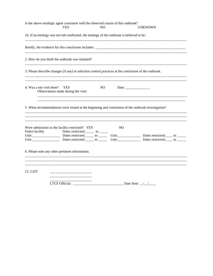<span id="page-22-0"></span>

| Is the above etiologic agent consistent with the observed course of this outbreak?                    | YES                                               | NO.            |                                                          | <b>UNKNOWN</b>                                                                                                                                                              |  |
|-------------------------------------------------------------------------------------------------------|---------------------------------------------------|----------------|----------------------------------------------------------|-----------------------------------------------------------------------------------------------------------------------------------------------------------------------------|--|
| 1b. If an etiology was not lab-confirmed, the etiology of the outbreak is believed to be:             |                                                   |                |                                                          |                                                                                                                                                                             |  |
|                                                                                                       |                                                   |                |                                                          |                                                                                                                                                                             |  |
| 2. How do you think the outbreak was initiated?                                                       |                                                   |                |                                                          |                                                                                                                                                                             |  |
| 3. Please describe changes (if any) in infection control practices at the conclusion of the outbreak. |                                                   |                |                                                          |                                                                                                                                                                             |  |
| 4. Was a site visit done?                                                                             | <b>YES</b><br>Observations made during the visit: | N <sub>O</sub> | Date: $\frac{1}{\sqrt{1-\frac{1}{2}} \cdot \frac{1}{2}}$ |                                                                                                                                                                             |  |
| 5. What recommendations were issued at the beginning and conclusion of the outbreak investigation?    |                                                   |                |                                                          |                                                                                                                                                                             |  |
| Were admissions to the facility restricted? YES<br>Entire facility                                    | Dates restricted: ______ to ______                |                | N <sub>O</sub>                                           | Unit: Dates nestricted: to ________ to ________ Unit: Dates restricted: to ______<br>Unit: Dates nestricted: to Unit: Dates nestricted: to Unit: Dates nestricted: to Unit: |  |
| 6. Please note any other pertinent information.                                                       |                                                   |                |                                                          |                                                                                                                                                                             |  |
| <b>CC LIST</b>                                                                                        |                                                   |                |                                                          |                                                                                                                                                                             |  |
|                                                                                                       | <b>LTCF Official:</b>                             |                |                                                          | Date Sent: $\_\_\_\_\_\_\_\_\_\_\_\_\_\_\_\_$                                                                                                                               |  |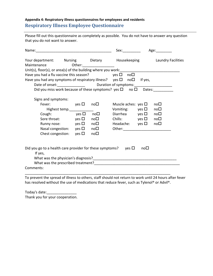# **Appendix 4: Respiratory illness questionnaires for employees and residents Respiratory Illness Employee Questionnaire**

Please fill out this questionnaire as completely as possible. You do not have to answer any question that you do not want to answer.

|                                                                                             |                                                                                                                                                                                                                                          |                                              | Sex:____________                                                                                                                                                          |     | Age:               |
|---------------------------------------------------------------------------------------------|------------------------------------------------------------------------------------------------------------------------------------------------------------------------------------------------------------------------------------------|----------------------------------------------|---------------------------------------------------------------------------------------------------------------------------------------------------------------------------|-----|--------------------|
| Your department: Nursing Dietary Housekeeping Laundry Facilities<br>Maintenance             |                                                                                                                                                                                                                                          | Other:___________________                    |                                                                                                                                                                           |     |                    |
|                                                                                             |                                                                                                                                                                                                                                          |                                              |                                                                                                                                                                           |     |                    |
| Have you had a flu vaccine this season? $yes \Box no \Box$                                  |                                                                                                                                                                                                                                          |                                              |                                                                                                                                                                           |     |                    |
| Have you had any symptoms of respiratory illness? yes $\square$ no $\square$ If yes,        |                                                                                                                                                                                                                                          |                                              |                                                                                                                                                                           |     |                    |
|                                                                                             |                                                                                                                                                                                                                                          |                                              |                                                                                                                                                                           |     |                    |
|                                                                                             |                                                                                                                                                                                                                                          |                                              | Did you miss work because of these symptoms? yes $\square$ no $\square$ Dates:                                                                                            |     |                    |
| Signs and symptoms:<br>Fever:<br>Cough:                                                     | $\mathsf{y}\mathsf{es}\ \mathsf{\square}$<br>Highest temp.<br>$\mathsf{yes}\ \square$<br>Sore throat: $yes \Box$<br>Runny nose: $yes \Box$ no $\Box$<br>Nasal congestion: $yes \Box$ no $\Box$<br>Chest congestion: $yes \Box$ no $\Box$ | no□<br>$\mathsf{no}\,\square$<br>$no\square$ | Muscle aches: yes $\square$<br>Vomiting: $yes \Box$<br>Diarrhea yes $\square$ no $\square$<br>Chills: $\vee$ yes $\square$ no $\square$<br>Headache: $yes \Box$ no $\Box$ |     | $no\square$<br>no□ |
| Did you go to a health care provider for these symptoms? yes $\Box$<br>If yes,<br>Comments: |                                                                                                                                                                                                                                          |                                              |                                                                                                                                                                           | no□ |                    |

To prevent the spread of illness to others, staff should not return to work until 24 hours after fever has resolved without the use of medications that reduce fever, such as Tylenol® or Advil®.

Today's date:\_\_\_\_\_\_\_\_\_\_\_\_\_\_\_ Thank you for your cooperation.